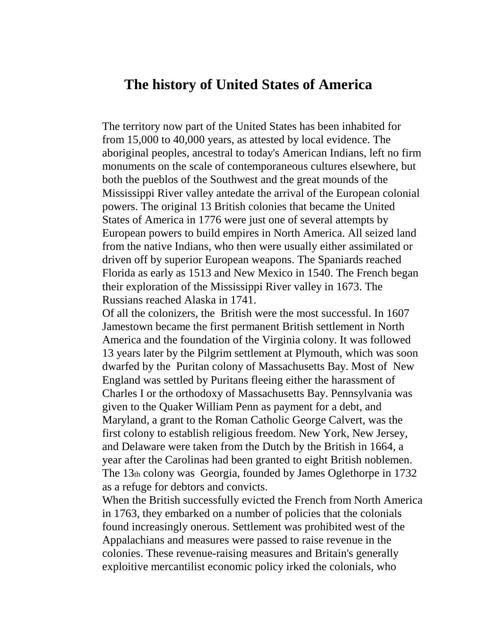## **The history of United States of America**

The territory now part of the United States has been inhabited for from 15,000 to 40,000 years, as attested by local evidence. The aboriginal peoples, ancestral to today's American Indians, left no firm monuments on the scale of contemporaneous cultures elsewhere, but both the pueblos of the Southwest and the great mounds of the Mississippi River valley antedate the arrival of the European colonial powers. The original 13 British colonies that became the United States of America in 1776 were just one of several attempts by European powers to build empires in North America. All seized land from the native Indians, who then were usually either assimilated or driven off by superior European weapons. The Spaniards reached Florida as early as 1513 and New Mexico in 1540. The French began their exploration of the Mississippi River valley in 1673. The Russians reached Alaska in 1741.

Of all the colonizers, the British were the most successful. In 1607 Jamestown became the first permanent British settlement in North America and the foundation of the Virginia colony. It was followed 13 years later by the Pilgrim settlement at Plymouth, which was soon dwarfed by the Puritan colony of Massachusetts Bay. Most of New England was settled by Puritans fleeing either the harassment of Charles I or the orthodoxy of Massachusetts Bay. Pennsylvania was given to the Quaker William Penn as payment for a debt, and Maryland, a grant to the Roman Catholic George Calvert, was the first colony to establish religious freedom. New York, New Jersey, and Delaware were taken from the Dutch by the British in 1664, a year after the Carolinas had been granted to eight British noblemen. The 13th colony was Georgia, founded by James Oglethorpe in 1732 as a refuge for debtors and convicts.

When the British successfully evicted the French from North America in 1763, they embarked on a number of policies that the colonials found increasingly onerous. Settlement was prohibited west of the Appalachians and measures were passed to raise revenue in the colonies. These revenue-raising measures and Britain's generally exploitive mercantilist economic policy irked the colonials, who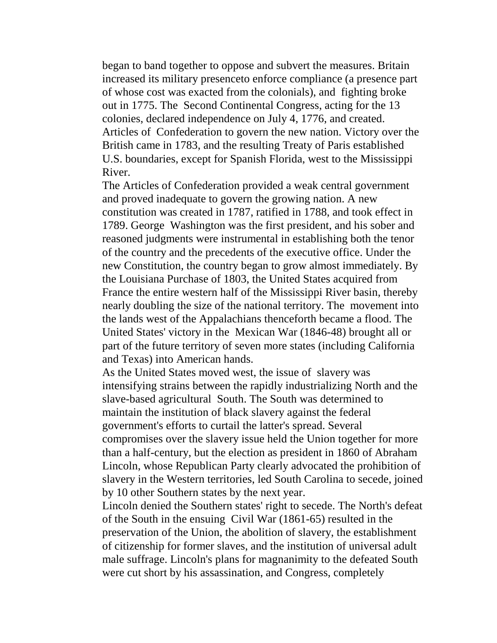began to band together to oppose and subvert the measures. Britain increased its military presenceto enforce compliance (a presence part of whose cost was exacted from the colonials), and fighting broke out in 1775. The Second Continental Congress, acting for the 13 colonies, declared independence on July 4, 1776, and created. Articles of Confederation to govern the new nation. Victory over the British came in 1783, and the resulting Treaty of Paris established U.S. boundaries, except for Spanish Florida, west to the Mississippi River.

The Articles of Confederation provided a weak central government and proved inadequate to govern the growing nation. A new constitution was created in 1787, ratified in 1788, and took effect in 1789. George Washington was the first president, and his sober and reasoned judgments were instrumental in establishing both the tenor of the country and the precedents of the executive office. Under the new Constitution, the country began to grow almost immediately. By the Louisiana Purchase of 1803, the United States acquired from France the entire western half of the Mississippi River basin, thereby nearly doubling the size of the national territory. The movement into the lands west of the Appalachians thenceforth became a flood. The United States' victory in the Mexican War (1846-48) brought all or part of the future territory of seven more states (including California and Texas) into American hands.

As the United States moved west, the issue of slavery was intensifying strains between the rapidly industrializing North and the slave-based agricultural South. The South was determined to maintain the institution of black slavery against the federal government's efforts to curtail the latter's spread. Several compromises over the slavery issue held the Union together for more than a half-century, but the election as president in 1860 of Abraham Lincoln, whose Republican Party clearly advocated the prohibition of slavery in the Western territories, led South Carolina to secede, joined by 10 other Southern states by the next year.

Lincoln denied the Southern states' right to secede. The North's defeat of the South in the ensuing Civil War (1861-65) resulted in the preservation of the Union, the abolition of slavery, the establishment of citizenship for former slaves, and the institution of universal adult male suffrage. Lincoln's plans for magnanimity to the defeated South were cut short by his assassination, and Congress, completely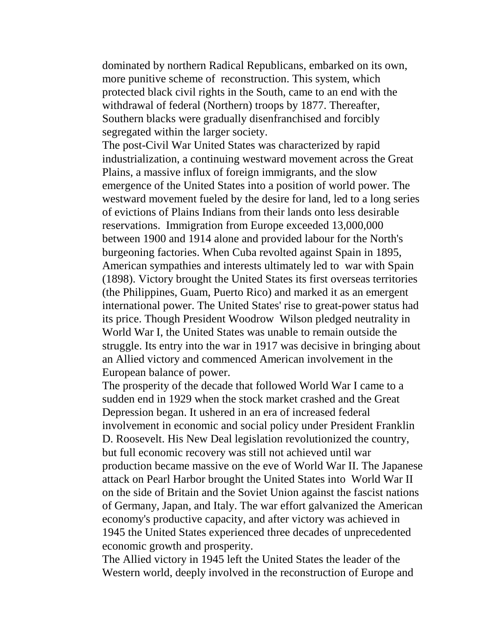dominated by northern Radical Republicans, embarked on its own, more punitive scheme of reconstruction. This system, which protected black civil rights in the South, came to an end with the withdrawal of federal (Northern) troops by 1877. Thereafter, Southern blacks were gradually disenfranchised and forcibly segregated within the larger society.

The post-Civil War United States was characterized by rapid industrialization, a continuing westward movement across the Great Plains, a massive influx of foreign immigrants, and the slow emergence of the United States into a position of world power. The westward movement fueled by the desire for land, led to a long series of evictions of Plains Indians from their lands onto less desirable reservations. Immigration from Europe exceeded 13,000,000 between 1900 and 1914 alone and provided labour for the North's burgeoning factories. When Cuba revolted against Spain in 1895, American sympathies and interests ultimately led to war with Spain (1898). Victory brought the United States its first overseas territories (the Philippines, Guam, Puerto Rico) and marked it as an emergent international power. The United States' rise to great-power status had its price. Though President Woodrow Wilson pledged neutrality in World War I, the United States was unable to remain outside the struggle. Its entry into the war in 1917 was decisive in bringing about an Allied victory and commenced American involvement in the European balance of power.

The prosperity of the decade that followed World War I came to a sudden end in 1929 when the stock market crashed and the Great Depression began. It ushered in an era of increased federal involvement in economic and social policy under President Franklin D. Roosevelt. His New Deal legislation revolutionized the country, but full economic recovery was still not achieved until war production became massive on the eve of World War II. The Japanese attack on Pearl Harbor brought the United States into World War II on the side of Britain and the Soviet Union against the fascist nations of Germany, Japan, and Italy. The war effort galvanized the American economy's productive capacity, and after victory was achieved in 1945 the United States experienced three decades of unprecedented economic growth and prosperity.

The Allied victory in 1945 left the United States the leader of the Western world, deeply involved in the reconstruction of Europe and